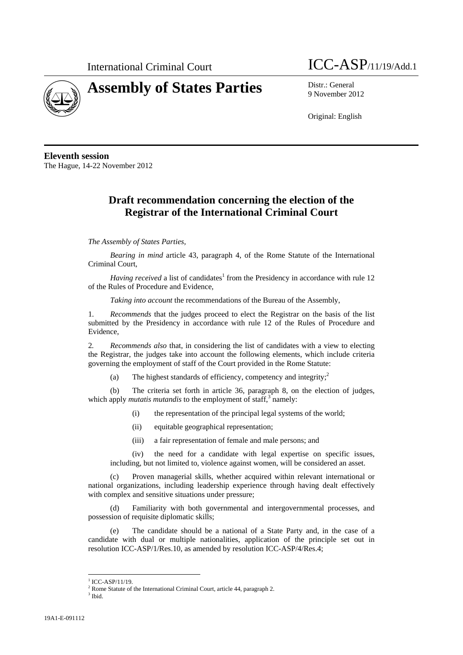

## **Assembly of States Parties** Distr.: General



9 November 2012

Original: English

**Eleventh session**  The Hague, 14-22 November 2012

## **Draft recommendation concerning the election of the Registrar of the International Criminal Court**

## *The Assembly of States Parties,*

*Bearing in mind* article 43, paragraph 4, of the Rome Statute of the International Criminal Court,

*Having received* a list of candidates<sup>1</sup> from the Presidency in accordance with rule 12 of the Rules of Procedure and Evidence,

*Taking into account* the recommendations of the Bureau of the Assembly,

*Recommends* that the judges proceed to elect the Registrar on the basis of the list submitted by the Presidency in accordance with rule 12 of the Rules of Procedure and Evidence,

2*. Recommends also* that, in considering the list of candidates with a view to electing the Registrar, the judges take into account the following elements, which include criteria governing the employment of staff of the Court provided in the Rome Statute:

(a) The highest standards of efficiency, competency and integrity; $\frac{2}{3}$ 

(b) The criteria set forth in article 36, paragraph 8, on the election of judges, which apply *mutatis mutandis* to the employment of staff,<sup>3</sup> namely:

- (i) the representation of the principal legal systems of the world;
- (ii) equitable geographical representation;
- (iii) a fair representation of female and male persons; and

(iv) the need for a candidate with legal expertise on specific issues, including, but not limited to, violence against women, will be considered an asset.

(c) Proven managerial skills, whether acquired within relevant international or national organizations, including leadership experience through having dealt effectively with complex and sensitive situations under pressure;

(d) Familiarity with both governmental and intergovernmental processes, and possession of requisite diplomatic skills;

(e) The candidate should be a national of a State Party and, in the case of a candidate with dual or multiple nationalities, application of the principle set out in resolution ICC-ASP/1/Res.10, as amended by resolution ICC-ASP/4/Res.4;

l

 $1$  ICC-ASP/11/19.

<sup>&</sup>lt;sup>2</sup> Rome Statute of the International Criminal Court, article 44, paragraph 2.  $\frac{3 \text{ This}}{3 \text{ This}}$ 

 $3$  Ibid.